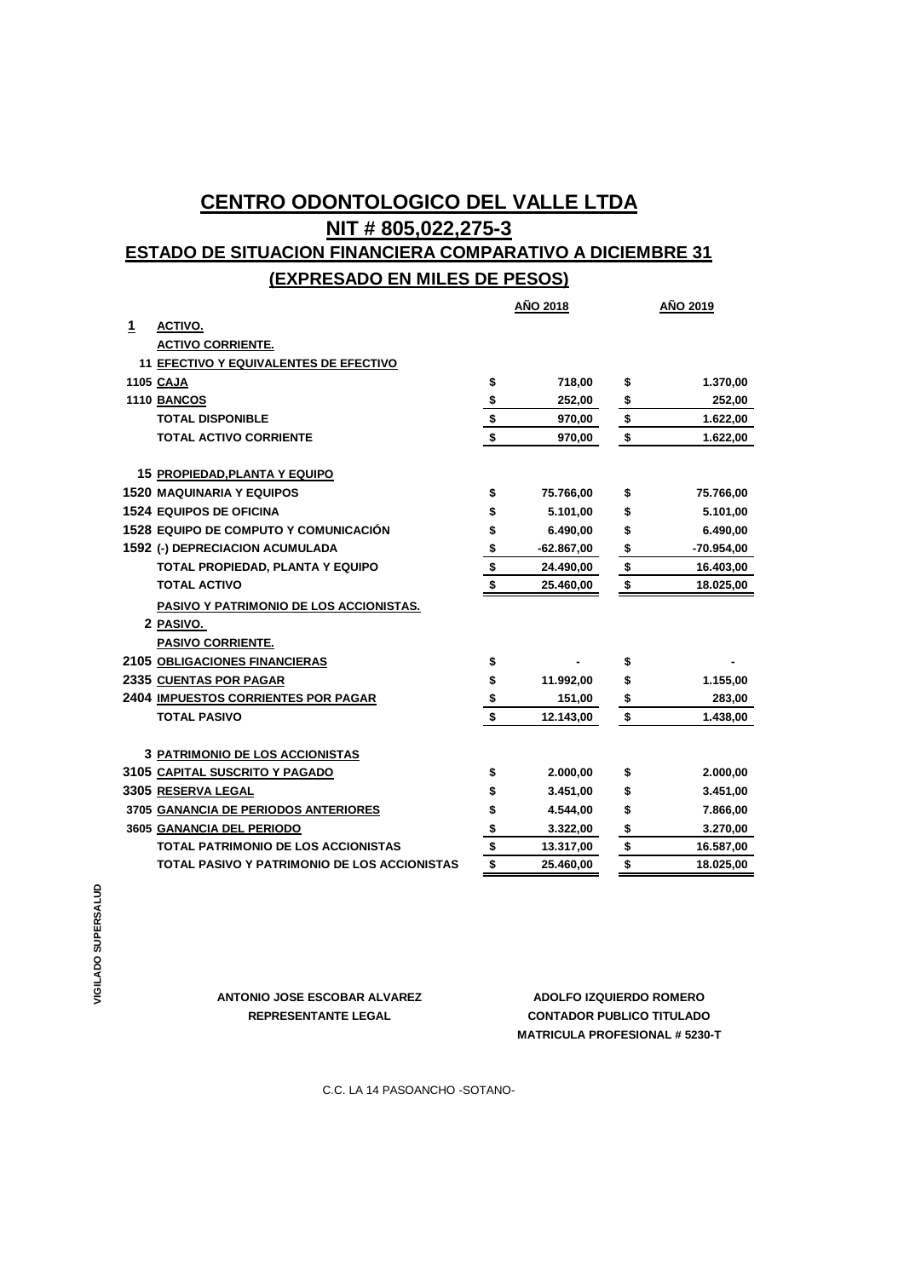## **CENTRO ODONTOLOGICO DEL VALLE LTDA NIT # 805,022,275-3 ESTADO DE SITUACION FINANCIERA COMPARATIVO A DICIEMBRE 31 (EXPRESADO EN MILES DE PESOS)**

|   |                                              | <b>AÑO 2018</b> |              | <b>AÑO 2019</b> |              |
|---|----------------------------------------------|-----------------|--------------|-----------------|--------------|
| 1 | ACTIVO.                                      |                 |              |                 |              |
|   | <b>ACTIVO CORRIENTE.</b>                     |                 |              |                 |              |
|   | 11 EFECTIVO Y EQUIVALENTES DE EFECTIVO       |                 |              |                 |              |
|   | <b>1105 CAJA</b>                             | \$              | 718,00       | \$              | 1.370,00     |
|   | <b>1110 BANCOS</b>                           | $\frac{1}{2}$   | 252,00       | \$              | 252,00       |
|   | <b>TOTAL DISPONIBLE</b>                      |                 | 970,00       | \$              | 1.622,00     |
|   | <b>TOTAL ACTIVO CORRIENTE</b>                | $\frac{1}{2}$   | 970,00       | \$              | 1.622,00     |
|   | 15 PROPIEDAD, PLANTA Y EQUIPO                |                 |              |                 |              |
|   | <b>1520 MAQUINARIA Y EQUIPOS</b>             | \$              | 75.766,00    | \$              | 75.766,00    |
|   | <b>1524 EQUIPOS DE OFICINA</b>               | \$              | 5.101,00     | \$              | 5.101,00     |
|   | <b>1528 EQUIPO DE COMPUTO Y COMUNICACIÓN</b> | \$              | 6.490,00     | \$              | 6.490,00     |
|   | 1592 (-) DEPRECIACION ACUMULADA              | \$              | $-62.867,00$ | \$              | $-70.954,00$ |
|   | TOTAL PROPIEDAD, PLANTA Y EQUIPO             | \$              | 24.490,00    | \$              | 16.403,00    |
|   | <b>TOTAL ACTIVO</b>                          | \$              | 25.460,00    | \$              | 18.025,00    |
|   | PASIVO Y PATRIMONIO DE LOS ACCIONISTAS.      |                 |              |                 |              |
|   | 2 PASIVO.                                    |                 |              |                 |              |
|   | <b>PASIVO CORRIENTE.</b>                     |                 |              |                 |              |
|   | <b>2105 OBLIGACIONES FINANCIERAS</b>         | \$              |              | \$              |              |
|   | 2335 CUENTAS POR PAGAR                       | \$              | 11.992,00    | \$              | 1.155,00     |
|   | <b>2404 IMPUESTOS CORRIENTES POR PAGAR</b>   | <u>\$</u>       | 151,00       | <u>\$</u>       | 283,00       |
|   | <b>TOTAL PASIVO</b>                          | \$              | 12.143,00    | \$              | 1.438,00     |
|   | <b>3 PATRIMONIO DE LOS ACCIONISTAS</b>       |                 |              |                 |              |
|   | 3105 CAPITAL SUSCRITO Y PAGADO               | \$              | 2.000,00     | \$              | 2.000,00     |
|   | 3305 RESERVA LEGAL                           | \$              | 3.451,00     | \$              | 3.451,00     |
|   | 3705 GANANCIA DE PERIODOS ANTERIORES         | \$              | 4.544,00     | \$              | 7.866,00     |
|   | 3605 GANANCIA DEL PERIODO                    | \$              | 3.322,00     | \$              | 3.270,00     |
|   | <b>TOTAL PATRIMONIO DE LOS ACCIONISTAS</b>   | \$              | 13.317,00    | \$              | 16.587,00    |
|   | TOTAL PASIVO Y PATRIMONIO DE LOS ACCIONISTAS | \$              | 25.460,00    | \$              | 18.025,00    |

**ANTONIO JOSE ESCOBAR ALVAREZ ADOLFO IZQUIERDO ROMERO**

**MATRICULA PROFESIONAL # 5230-T REPRESENTANTE LEGAL CONTADOR PUBLICO TITULADO**

C.C. LA 14 PASOANCHO -SOTANO-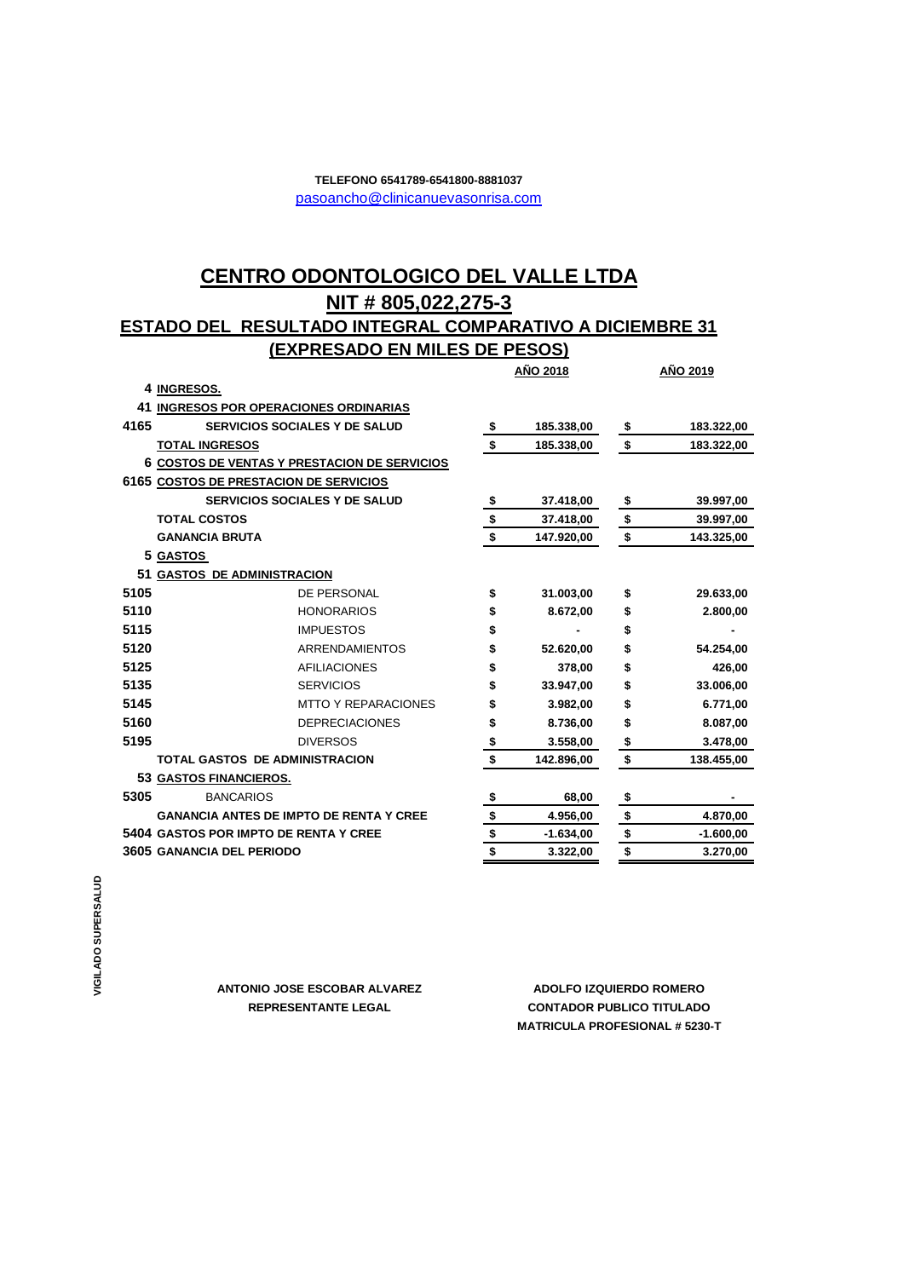## [p](mailto:pasoancho@clinicanuevasonrisa.com)asoancho@clinicanuevasonrisa.com **TELEFONO 6541789-6541800-8881037**

## **NIT # 805,022,275-3 CENTRO ODONTOLOGICO DEL VALLE LTDA**

## **ESTADO DEL RESULTADO INTEGRAL COMPARATIVO A DICIEMBRE 31 (EXPRESADO EN MILES DE PESOS)**

|      |                                                |               | <b>AÑO 2018</b> |             | AÑO 2019 |             |
|------|------------------------------------------------|---------------|-----------------|-------------|----------|-------------|
|      | 4 INGRESOS.                                    |               |                 |             |          |             |
|      | 41 INGRESOS POR OPERACIONES ORDINARIAS         |               |                 |             |          |             |
| 4165 | <b>SERVICIOS SOCIALES Y DE SALUD</b>           | \$            |                 | 185.338,00  | \$       | 183.322,00  |
|      | <b>TOTAL INGRESOS</b>                          | \$            |                 | 185.338,00  | \$       | 183.322,00  |
|      | 6 COSTOS DE VENTAS Y PRESTACION DE SERVICIOS   |               |                 |             |          |             |
|      | 6165 COSTOS DE PRESTACION DE SERVICIOS         |               |                 |             |          |             |
|      | <b>SERVICIOS SOCIALES Y DE SALUD</b>           | \$            |                 | 37.418,00   | \$       | 39.997,00   |
|      | <b>TOTAL COSTOS</b>                            | $\frac{1}{2}$ |                 | 37.418,00   | \$       | 39.997,00   |
|      | <b>GANANCIA BRUTA</b>                          | \$            |                 | 147.920,00  | \$       | 143.325,00  |
|      | 5 GASTOS                                       |               |                 |             |          |             |
|      | 51 GASTOS DE ADMINISTRACION                    |               |                 |             |          |             |
| 5105 | DE PERSONAL                                    | \$            |                 | 31.003,00   | \$       | 29.633,00   |
| 5110 | <b>HONORARIOS</b>                              | \$            |                 | 8.672,00    | \$       | 2.800,00    |
| 5115 | <b>IMPUESTOS</b>                               | \$            |                 |             | \$       |             |
| 5120 | <b>ARRENDAMIENTOS</b>                          | \$            |                 | 52.620,00   | \$       | 54.254,00   |
| 5125 | <b>AFILIACIONES</b>                            | \$            |                 | 378,00      | \$       | 426,00      |
| 5135 | <b>SERVICIOS</b>                               | \$            |                 | 33.947,00   | \$       | 33.006,00   |
| 5145 | <b>MTTO Y REPARACIONES</b>                     | \$            |                 | 3.982,00    | \$       | 6.771,00    |
| 5160 | <b>DEPRECIACIONES</b>                          | \$            |                 | 8.736,00    | \$       | 8.087,00    |
| 5195 | <b>DIVERSOS</b>                                | \$            |                 | 3.558,00    | \$       | 3.478,00    |
|      | <b>TOTAL GASTOS DE ADMINISTRACION</b>          | \$            |                 | 142.896,00  | \$       | 138.455,00  |
|      | 53 GASTOS FINANCIEROS.                         |               |                 |             |          |             |
| 5305 | <b>BANCARIOS</b>                               | \$            |                 | 68,00       | \$       |             |
|      | <b>GANANCIA ANTES DE IMPTO DE RENTA Y CREE</b> | \$            |                 | 4.956,00    | \$       | 4.870,00    |
|      | 5404 GASTOS POR IMPTO DE RENTA Y CREE          |               | \$              | $-1.634,00$ | \$       | $-1.600,00$ |
|      | <b>3605 GANANCIA DEL PERIODO</b>               | \$            |                 | 3.322,00    | \$       | 3.270,00    |

**ANTONIO JOSE ESCOBAR ALVAREZ**

**REPRESENTANTE LEGAL CONTADOR PUBLICO TITULADO MATRICULA PROFESIONAL # 5230-T ADOLFO IZQUIERDO ROMERO**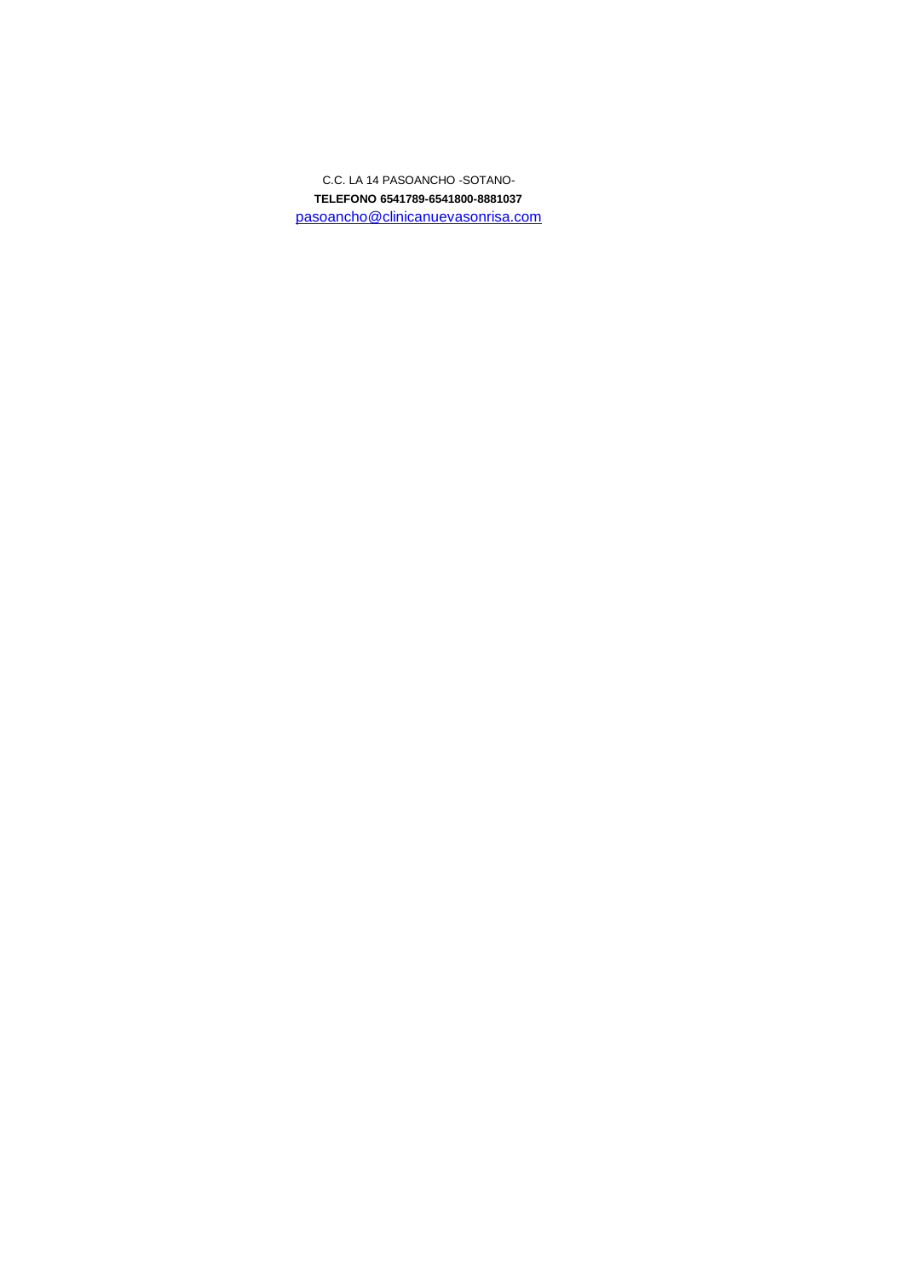**TELEFONO 6541789-6541800-8881037** [p](mailto:pasoancho@clinicanuevasonrisa.com)asoancho@clinicanuevasonrisa.com C.C. LA 14 PASOANCHO -SOTANO-